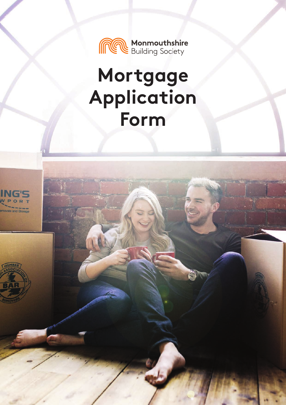

# **Mortgage Application Form**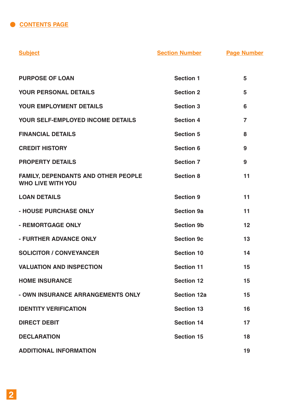**CONTENTS PAGE** 

| <b>Subject</b>                                                  | <b>Section Number</b> | <b>Page Number</b> |
|-----------------------------------------------------------------|-----------------------|--------------------|
|                                                                 |                       |                    |
| <b>PURPOSE OF LOAN</b>                                          | <b>Section 1</b>      | 5                  |
| <b>YOUR PERSONAL DETAILS</b>                                    | <b>Section 2</b>      | 5                  |
| <b>YOUR EMPLOYMENT DETAILS</b>                                  | <b>Section 3</b>      | 6                  |
| <b>YOUR SELF-EMPLOYED INCOME DETAILS</b>                        | <b>Section 4</b>      | $\overline{7}$     |
| <b>FINANCIAL DETAILS</b>                                        | <b>Section 5</b>      | 8                  |
| <b>CREDIT HISTORY</b>                                           | <b>Section 6</b>      | 9                  |
| <b>PROPERTY DETAILS</b>                                         | <b>Section 7</b>      | 9                  |
| FAMILY, DEPENDANTS AND OTHER PEOPLE<br><b>WHO LIVE WITH YOU</b> | <b>Section 8</b>      | 11                 |
| <b>LOAN DETAILS</b>                                             | <b>Section 9</b>      | 11                 |
| - HOUSE PURCHASE ONLY                                           | <b>Section 9a</b>     | 11                 |
| - REMORTGAGE ONLY                                               | <b>Section 9b</b>     | 12                 |
| - FURTHER ADVANCE ONLY                                          | <b>Section 9c</b>     | 13                 |
| <b>SOLICITOR / CONVEYANCER</b>                                  | <b>Section 10</b>     | 14                 |
| <b>VALUATION AND INSPECTION</b>                                 | <b>Section 11</b>     | 15                 |
| <b>HOME INSURANCE</b>                                           | <b>Section 12</b>     | 15                 |
| - OWN INSURANCE ARRANGEMENTS ONLY                               | <b>Section 12a</b>    | 15                 |
| <b>IDENTITY VERIFICATION</b>                                    | <b>Section 13</b>     | 16                 |
| <b>DIRECT DEBIT</b>                                             | <b>Section 14</b>     | 17                 |
| <b>DECLARATION</b>                                              | <b>Section 15</b>     | 18                 |
| <b>ADDITIONAL INFORMATION</b>                                   |                       | 19                 |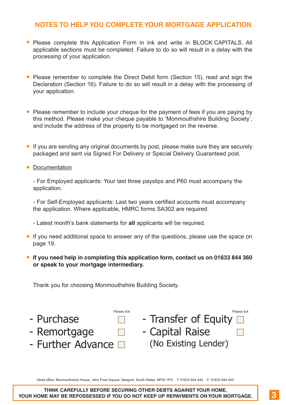## **NOTES TO HELP YOU COMPLETE YOUR MORTGAGE APPLICATION**

- Please complete this Application Form in ink and write in BLOCK CAPITALS. All applicable sections must be completed. Failure to do so will result in a delay with the processing of your application. .
- Please remember to complete the Direct Debit form (Section 15), read and sign the Declaration (Section 16). Failure to do so will result in a delay with the processing of your application.
- Please remember to include your cheque for the payment of fees if you are paying by<br>this mathed. Please make your change agushle to the payment of fees if you are paying by this method. Please make your cheque payable to 'Monmouthshire Building Society', and include the address of the property to be mortgaged on the reverse.
- If you are sending any original documents by post, please make sure they are securely<br>sectioned and septence Simple Far Delivers as Special Delivers Queenstand post packaged and sent via Signed For Delivery or Special Delivery Guaranteed post.
- packaged and <br>• Documentation

- For Employed applicants: Your last three payslips and P60 must accompany the application.

- For Self-Employed applicants: Last two years certified accounts must accompany the application. Where applicable, HMRC forms SA302 are required.

- Latest month's bank statements for **all** applicants will be required.

- Latest month's bank statements for **all** applicants will be required.<br>● If you need additional space to answer any of the questions, please use the space on page 19.
- **If you need help in completing this application form, contact us on 01633 844 360**<br>
 If you need help in completing this application form, contact us on 01633 844 360 **or speak to your mortgage intermediary.**

Thank you for choosing Monmouthshire Building Society.



Head office: Monmouthshire House, John Frost Square, Newport, South Wales. NP20 1PX. T: 01633 844 444 F: 01633 844 445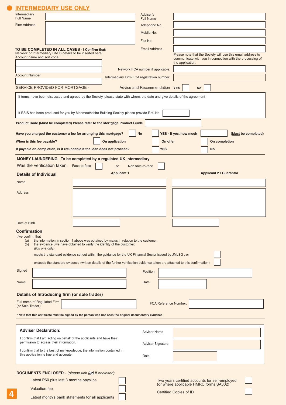| Intermediary                                                                | <b>NTERMEDIARY USE ONLY</b>              |                                                                                                                                                                  | Adviser's                                  |                                                                                                                          |
|-----------------------------------------------------------------------------|------------------------------------------|------------------------------------------------------------------------------------------------------------------------------------------------------------------|--------------------------------------------|--------------------------------------------------------------------------------------------------------------------------|
| <b>Full Name</b><br><b>Firm Address</b>                                     |                                          |                                                                                                                                                                  | <b>Full Name</b>                           |                                                                                                                          |
|                                                                             |                                          |                                                                                                                                                                  | Telephone No.                              |                                                                                                                          |
|                                                                             |                                          |                                                                                                                                                                  | Mobile No.<br>Fax No.                      |                                                                                                                          |
|                                                                             |                                          |                                                                                                                                                                  | <b>Email Address</b>                       |                                                                                                                          |
| Account name and sort code:                                                 |                                          | TO BE COMPLETED IN ALL CASES - I Confirm that:<br>Network or Intermediary BACS details to be inserted here:                                                      |                                            | Please note that the Society will use this email address to<br>communicate with you in connection with the processing of |
|                                                                             |                                          |                                                                                                                                                                  |                                            | the application.                                                                                                         |
| <b>Account Number</b>                                                       |                                          |                                                                                                                                                                  | Network FCA number if applicable:          |                                                                                                                          |
|                                                                             |                                          |                                                                                                                                                                  | Intermediary Firm FCA registration number: |                                                                                                                          |
|                                                                             | SERVICE PROVIDED FOR MORTGAGE -          |                                                                                                                                                                  | Advice and Recommendation YES              | <b>No</b>                                                                                                                |
|                                                                             |                                          | If terms have been discussed and agreed by the Society, please state with whom, the date and give details of the agreement                                       |                                            |                                                                                                                          |
|                                                                             |                                          |                                                                                                                                                                  |                                            |                                                                                                                          |
|                                                                             |                                          | If ESIS has been produced for you by Monmouthshire Building Society please provide Ref. No                                                                       |                                            |                                                                                                                          |
|                                                                             |                                          | Product Code (Must be completed) Please refer to the Mortgage Product Guide                                                                                      |                                            |                                                                                                                          |
|                                                                             |                                          | Have you charged the customer a fee for arranging this mortgage?                                                                                                 | <b>No</b>                                  | YES - If yes, how much<br>(Must be completed)                                                                            |
| When is this fee payable?                                                   |                                          | On application                                                                                                                                                   | On offer                                   | On completion                                                                                                            |
|                                                                             |                                          | If payable on completion, is it refundable if the loan does not proceed?                                                                                         | <b>YES</b>                                 | No                                                                                                                       |
|                                                                             |                                          | <b>MONEY LAUNDERING - To be completed by a regulated UK intermediary</b>                                                                                         |                                            |                                                                                                                          |
|                                                                             | Was the verification taken: Face-to-face | <b>or</b>                                                                                                                                                        | Non face-to-face                           |                                                                                                                          |
| <b>Details of Individual</b>                                                |                                          | <b>Applicant 1</b>                                                                                                                                               |                                            | <b>Applicant 2 / Guarantor</b>                                                                                           |
| Name                                                                        |                                          |                                                                                                                                                                  |                                            |                                                                                                                          |
|                                                                             |                                          |                                                                                                                                                                  |                                            |                                                                                                                          |
| Address                                                                     |                                          |                                                                                                                                                                  |                                            |                                                                                                                          |
|                                                                             |                                          |                                                                                                                                                                  |                                            |                                                                                                                          |
|                                                                             |                                          |                                                                                                                                                                  |                                            |                                                                                                                          |
| Date of Birth                                                               |                                          |                                                                                                                                                                  |                                            |                                                                                                                          |
| <b>Confirmation</b>                                                         |                                          |                                                                                                                                                                  |                                            |                                                                                                                          |
| I/we confirm that                                                           |                                          |                                                                                                                                                                  |                                            |                                                                                                                          |
| (a)<br>(b)                                                                  |                                          | the information in section 1 above was obtained by me/us in relation to the customer;<br>the evidence I/we have obtained to verify the identity of the customer: |                                            |                                                                                                                          |
|                                                                             | (tick one only)                          | meets the standard evidence set out within the guidance for the UK Financial Sector issued by JMLSG ; or                                                         |                                            |                                                                                                                          |
|                                                                             |                                          | exceeds the standard evidence (written details of the further verification evidence taken are attached to this confirmation).                                    |                                            |                                                                                                                          |
| Signed                                                                      |                                          |                                                                                                                                                                  | Position                                   |                                                                                                                          |
|                                                                             |                                          |                                                                                                                                                                  |                                            |                                                                                                                          |
| Name                                                                        |                                          |                                                                                                                                                                  | Date                                       |                                                                                                                          |
|                                                                             |                                          |                                                                                                                                                                  |                                            |                                                                                                                          |
|                                                                             |                                          |                                                                                                                                                                  |                                            | FCA Reference Number:                                                                                                    |
| Details of Introducing firm (or sole trader)<br>Full name of Regulated Firm |                                          |                                                                                                                                                                  |                                            |                                                                                                                          |
| (or Sole Trader):                                                           |                                          |                                                                                                                                                                  |                                            |                                                                                                                          |
|                                                                             |                                          | * Note that this certificate must be signed by the person who has seen the original documentary evidence                                                         |                                            |                                                                                                                          |
|                                                                             |                                          |                                                                                                                                                                  |                                            |                                                                                                                          |
| <b>Adviser Declaration:</b>                                                 |                                          |                                                                                                                                                                  | <b>Adviser Name</b>                        |                                                                                                                          |
|                                                                             |                                          | I confirm that I am acting on behalf of the applicants and have their                                                                                            |                                            |                                                                                                                          |
|                                                                             | permission to access their information.  |                                                                                                                                                                  | Adviser Signature                          |                                                                                                                          |
|                                                                             | this application is true and accurate.   | I confirm that to the best of my knowledge, the information contained in                                                                                         | Date                                       |                                                                                                                          |
|                                                                             |                                          |                                                                                                                                                                  |                                            |                                                                                                                          |
|                                                                             |                                          |                                                                                                                                                                  |                                            |                                                                                                                          |
|                                                                             | Latest P60 plus last 3 months payslips   | DOCUMENTS ENCLOSED - (please tick [J] if enclosed)                                                                                                               |                                            |                                                                                                                          |
| Valuation fee                                                               |                                          |                                                                                                                                                                  |                                            | Two years certified accounts for self-employed<br>(or where applicable HMRC forms SA302)                                 |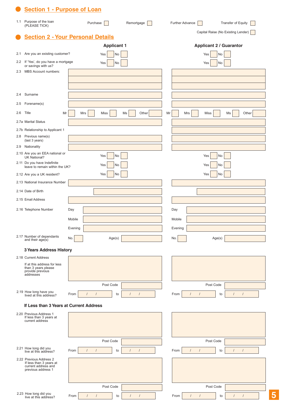|     | <b>Section 1 - Purpose of Loan</b>                                                   |                                                                    |                                                                    |
|-----|--------------------------------------------------------------------------------------|--------------------------------------------------------------------|--------------------------------------------------------------------|
| 1.1 | Purpose of the loan<br>(PLEASE TICK)                                                 | Remortgage<br>Purchase                                             | Further Advance<br>Transfer of Equity                              |
|     |                                                                                      | <b>Section 2 - Your Personal Details</b>                           | Capital Raise (No Existing Lender)                                 |
|     |                                                                                      | <b>Applicant 1</b>                                                 | <b>Applicant 2 / Guarantor</b>                                     |
| 2.1 | Are you an existing customer?                                                        | No<br>Yes                                                          | No<br>Yes                                                          |
|     | 2.2 If 'Yes', do you have a mortgage<br>or savings with us?                          | No<br>Yes                                                          | No<br>Yes                                                          |
| 2.3 | <b>MBS Account numbers:</b>                                                          |                                                                    |                                                                    |
|     |                                                                                      |                                                                    |                                                                    |
| 2.4 | Surname                                                                              |                                                                    |                                                                    |
| 2.5 | Forename(s)                                                                          |                                                                    |                                                                    |
| 2.6 | Title                                                                                |                                                                    |                                                                    |
|     | Mr                                                                                   | Other<br>Mrs<br>Miss<br>Ms                                         | Other<br>Mr<br>Mrs<br>Miss<br>Ms                                   |
|     | 2.7a Marital Status<br>2.7b Relationship to Applicant 1                              |                                                                    |                                                                    |
| 2.8 | Previous name(s)                                                                     |                                                                    |                                                                    |
| 2.9 | (last 3 years)<br>Nationality                                                        |                                                                    |                                                                    |
|     | 2.10 Are you an EEA national or                                                      | No<br>Yes                                                          | Yes<br>No                                                          |
|     | <b>UK National?</b><br>2.11 Do you have Indefinite<br>leave to remain within the UK? | No<br>Yes                                                          | No<br>Yes                                                          |
|     | 2.12 Are you a UK resident?                                                          | No<br>Yes                                                          | No<br>Yes                                                          |
|     | 2.13 National Insurance Number                                                       |                                                                    |                                                                    |
|     | 2.14 Date of Birth                                                                   |                                                                    |                                                                    |
|     | 2.15 Email Address                                                                   |                                                                    |                                                                    |
|     | 2.16 Telephone Number                                                                | Day                                                                | Day                                                                |
|     |                                                                                      | Mobile                                                             | Mobile                                                             |
|     |                                                                                      | Evening                                                            | Evening                                                            |
|     | 2.17 Number of dependants<br>and their $age(s)$                                      | No.<br>Age(s)                                                      | No.<br>Age(s)                                                      |
|     | <b>3 Years Address History</b>                                                       |                                                                    |                                                                    |
|     | 2.18 Current Address                                                                 |                                                                    |                                                                    |
|     | If at this address for less<br>than 3 years please<br>provide previous<br>addresses  |                                                                    |                                                                    |
|     |                                                                                      | Post Code                                                          | Post Code                                                          |
|     | 2.19 How long have you<br>lived at this address?                                     | From<br>$\sqrt{ }$<br>$\sqrt{ }$<br>$\sqrt{ }$<br>$\prime$<br>to   | From<br>$\sqrt{ }$<br>$\sqrt{ }$<br>$\prime$<br>$\sqrt{ }$<br>to   |
|     | If Less than 3 Years at Current Address                                              |                                                                    |                                                                    |
|     | 2.20 Previous Address 1<br>If less than 3 years at<br>current address                |                                                                    |                                                                    |
|     |                                                                                      |                                                                    |                                                                    |
|     |                                                                                      | Post Code                                                          | Post Code                                                          |
|     | 2.21 How long did you<br>live at this address?                                       | $\sqrt{ }$<br>$\sqrt{ }$<br>From<br>$\prime$<br>to                 | From<br>$\sqrt{ }$<br>$\prime$<br>$\sqrt{ }$<br>to<br>$\sqrt{ }$   |
|     | 2.22 Previous Address 2<br>If less than 3 years at<br>current address and            |                                                                    |                                                                    |
|     | previous address 1                                                                   |                                                                    |                                                                    |
|     |                                                                                      |                                                                    |                                                                    |
|     |                                                                                      | Post Code                                                          | Post Code                                                          |
|     | 2.23 How long did you<br>live at this address?                                       | $\sqrt{ }$<br>$\sqrt{ }$<br>$\sqrt{ }$<br>$\sqrt{ }$<br>From<br>to | From<br>$\sqrt{ }$<br>$\overline{1}$<br>$\prime$<br>$\prime$<br>to |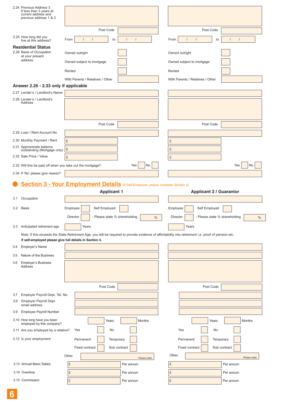| 2.24 Previous Address 3<br>If less than 3 years at<br>current address and<br>previous address 1 & 2 |                                                                                                                |                                                                                                                                                      |
|-----------------------------------------------------------------------------------------------------|----------------------------------------------------------------------------------------------------------------|------------------------------------------------------------------------------------------------------------------------------------------------------|
|                                                                                                     | Post Code                                                                                                      | Post Code                                                                                                                                            |
| 2.25 How long did you                                                                               | From<br>$\prime$                                                                                               | From<br>$\prime$<br>$\prime$                                                                                                                         |
| live at this address?                                                                               | to                                                                                                             | to<br>$\prime$                                                                                                                                       |
| <b>Residential Status</b><br>2.26 Basis of Occupation                                               | Owned outright                                                                                                 | Owned outright                                                                                                                                       |
| at your present<br>address                                                                          |                                                                                                                | Owned subject to mortgage                                                                                                                            |
|                                                                                                     | Owned subject to mortgage                                                                                      |                                                                                                                                                      |
|                                                                                                     | Rented                                                                                                         | Rented                                                                                                                                               |
|                                                                                                     | With Parents / Relatives / Other                                                                               | With Parents / Relatives / Other                                                                                                                     |
| Answer 2.26 - 2.33 only if applicable                                                               |                                                                                                                |                                                                                                                                                      |
| 2.27 Lender's / Landlord's Name<br>2.28 Lender's / Landlord's                                       |                                                                                                                |                                                                                                                                                      |
| Address                                                                                             |                                                                                                                |                                                                                                                                                      |
|                                                                                                     |                                                                                                                |                                                                                                                                                      |
|                                                                                                     |                                                                                                                |                                                                                                                                                      |
|                                                                                                     | Post Code                                                                                                      | Post Code                                                                                                                                            |
| 2.29 Loan / Rent Account No.                                                                        |                                                                                                                |                                                                                                                                                      |
| 2.30 Monthly Payment / Rent                                                                         | £                                                                                                              | £                                                                                                                                                    |
| 2.31 Approximate balance<br>outstanding (Mortgage only)                                             | $\pounds$                                                                                                      | £                                                                                                                                                    |
| 2.32 Sale Price / Value                                                                             | £                                                                                                              | £                                                                                                                                                    |
| 2.33 Will this be paid off when you take out the mortgage?                                          | Yes                                                                                                            | No<br>Yes<br>No                                                                                                                                      |
| 2.34 If 'No' please give reason?                                                                    |                                                                                                                |                                                                                                                                                      |
|                                                                                                     |                                                                                                                |                                                                                                                                                      |
|                                                                                                     | <b>Section 3 - Your Employment Details</b> (if Self-Employed, please complete Section 4)<br><b>Applicant 1</b> | <b>Applicant 2 / Guarantor</b>                                                                                                                       |
| Occupation<br>3.1                                                                                   |                                                                                                                |                                                                                                                                                      |
| 3.2 Basis                                                                                           | Employee<br>Self Employed                                                                                      | Employee<br>Self Employed                                                                                                                            |
|                                                                                                     | Director<br>- Please state % shareholding                                                                      | Director<br>- Please state % shareholding<br>%<br>%                                                                                                  |
|                                                                                                     |                                                                                                                |                                                                                                                                                      |
| 3.3 Anticipated retirement age                                                                      | Years                                                                                                          | Years                                                                                                                                                |
| If self-employed please give full details in Section 4.                                             |                                                                                                                | Note: If this exceeds the State Retirement Age, you will be required to provide evidence of affordability into retirement i.e. proof of pension etc. |
| Employer's Name<br>3.4                                                                              |                                                                                                                |                                                                                                                                                      |
|                                                                                                     |                                                                                                                |                                                                                                                                                      |
| Nature of the Business<br>3.5                                                                       |                                                                                                                |                                                                                                                                                      |
| <b>Employer's Business</b><br>3.6<br>Address                                                        |                                                                                                                |                                                                                                                                                      |
|                                                                                                     |                                                                                                                |                                                                                                                                                      |
|                                                                                                     |                                                                                                                |                                                                                                                                                      |
|                                                                                                     | Post Code                                                                                                      | Post Code                                                                                                                                            |
| Employer Payroll Dept. Tel. No.<br>3.7                                                              |                                                                                                                |                                                                                                                                                      |
| Employer Payroll Dept.<br>3.8<br>email address                                                      |                                                                                                                |                                                                                                                                                      |
| Employee Payroll Number<br>3.9                                                                      |                                                                                                                |                                                                                                                                                      |
| 3.10 How long have you been<br>employed by this company?                                            | Years                                                                                                          | Months<br>Months<br>Years                                                                                                                            |
| 3.11 Are you employed by a relative?                                                                | Yes<br>No                                                                                                      | Yes<br>No                                                                                                                                            |
| 3.12 Is your employment                                                                             | Permanent<br>Temporary                                                                                         | Permanent<br>Temporary                                                                                                                               |
|                                                                                                     |                                                                                                                |                                                                                                                                                      |
|                                                                                                     | Fixed contract<br>Sub contract                                                                                 | Fixed contract<br>Sub contract                                                                                                                       |
|                                                                                                     | Other                                                                                                          | Other<br>Please state<br>Please state                                                                                                                |
| 3.13 Annual Basic Salary                                                                            | $\pounds$<br>Per annum                                                                                         | £<br>Per annum                                                                                                                                       |
| 3.14 Overtime                                                                                       | $\pounds$<br>Per annum<br>$\pounds$                                                                            | £<br>Per annum                                                                                                                                       |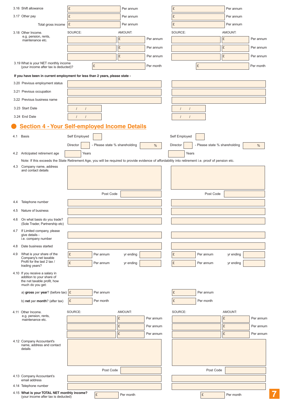|                     | 3.16 Shift allowance                                                                                                                                                              | £                      |                               | Per annum |           | £                      |                               | Per annum |           |
|---------------------|-----------------------------------------------------------------------------------------------------------------------------------------------------------------------------------|------------------------|-------------------------------|-----------|-----------|------------------------|-------------------------------|-----------|-----------|
| 3.17 Other pay      |                                                                                                                                                                                   | £                      |                               | Per annum |           | £                      |                               | Per annum |           |
|                     | Total gross income                                                                                                                                                                | £                      |                               | Per annum |           | £                      |                               | Per annum |           |
|                     | 3.18 Other Income.                                                                                                                                                                | SOURCE:                |                               | AMOUNT:   |           | SOURCE:                |                               | AMOUNT:   |           |
|                     | e.g. pension, rents,<br>maintenance etc.                                                                                                                                          |                        |                               | £         | Per annum |                        |                               | £         | Per annum |
|                     |                                                                                                                                                                                   |                        |                               | £         | Per annum |                        |                               | £         | Per annum |
|                     |                                                                                                                                                                                   |                        |                               | £         | Per annum |                        |                               | £         | Per annum |
|                     | 3.19 What is your NET monthly income                                                                                                                                              |                        |                               |           |           |                        |                               |           |           |
|                     | (your income after tax is deducted)?                                                                                                                                              |                        | £                             |           | Per month |                        | £                             |           | Per month |
|                     | If you have been in current employment for less than 2 years, please state -                                                                                                      |                        |                               |           |           |                        |                               |           |           |
|                     | 3.20 Previous employment status                                                                                                                                                   |                        |                               |           |           |                        |                               |           |           |
|                     | 3.21 Previous occupation                                                                                                                                                          |                        |                               |           |           |                        |                               |           |           |
|                     | 3.22 Previous business name                                                                                                                                                       |                        |                               |           |           |                        |                               |           |           |
|                     | 3.23 Start Date                                                                                                                                                                   | $\prime$<br>$\prime$   |                               |           |           | $\sqrt{ }$<br>$\prime$ |                               |           |           |
| 3.24 End Date       |                                                                                                                                                                                   | $\sqrt{ }$<br>$\prime$ |                               |           |           | $\prime$<br>$\prime$   |                               |           |           |
|                     | <b>Section 4 - Your Self-employed Income Details</b>                                                                                                                              |                        |                               |           |           |                        |                               |           |           |
|                     |                                                                                                                                                                                   |                        |                               |           |           |                        |                               |           |           |
| <b>Basis</b><br>4.1 |                                                                                                                                                                                   | Self Employed          |                               |           |           | Self Employed          |                               |           |           |
|                     |                                                                                                                                                                                   | Director               | - Please state % shareholding |           | $\%$      | Director               | - Please state % shareholding |           | $\%$      |
|                     | 4.2 Anticipated retirement age                                                                                                                                                    | Years                  |                               |           |           | Years                  |                               |           |           |
|                     | Note: If this exceeds the State Retirement Age, you will be required to provide evidence of affordability into retirement i.e. proof of pension etc.<br>4.3 Company name, address |                        |                               |           |           |                        |                               |           |           |
|                     | and contact details                                                                                                                                                               |                        |                               |           |           |                        |                               |           |           |
|                     |                                                                                                                                                                                   |                        |                               |           |           |                        |                               |           |           |
|                     |                                                                                                                                                                                   |                        |                               |           |           |                        |                               |           |           |
|                     |                                                                                                                                                                                   |                        | Post Code                     |           |           |                        | Post Code                     |           |           |
| 4.4                 | Telephone number                                                                                                                                                                  |                        |                               |           |           |                        |                               |           |           |
| 4.5                 | Nature of business                                                                                                                                                                |                        |                               |           |           |                        |                               |           |           |
|                     | 4.6 On what basis do you trade?                                                                                                                                                   |                        |                               |           |           |                        |                               |           |           |
|                     | (Sole Trader, Partnership etc)                                                                                                                                                    |                        |                               |           |           |                        |                               |           |           |
| 4.7                 | If Limited company, please<br>give details -                                                                                                                                      |                        |                               |           |           |                        |                               |           |           |
|                     | i.e. company number                                                                                                                                                               |                        |                               |           |           |                        |                               |           |           |
| 4.8                 | Date business started                                                                                                                                                             |                        |                               |           |           |                        |                               |           |           |
| 4.9                 | What is your share of the<br>Company's net taxable                                                                                                                                | £                      | Per annum                     | yr ending |           | £                      | Per annum                     | yr ending |           |
|                     | Profit for the last 2 tax /<br>trading years?                                                                                                                                     | $\pounds$              | Per annum                     | yr ending |           | £                      | Per annum                     | yr ending |           |
|                     | 4.10 If you receive a salary in                                                                                                                                                   |                        |                               |           |           |                        |                               |           |           |
|                     | addition to your share of<br>the net taxable profit, how                                                                                                                          |                        |                               |           |           |                        |                               |           |           |
|                     | much do you get:                                                                                                                                                                  |                        |                               |           |           |                        |                               |           |           |
|                     | a) gross per year? (before tax) $\mathcal{E}$                                                                                                                                     |                        | Per annum                     |           |           | £                      | Per annum                     |           |           |
|                     | b) net per month? (after tax)                                                                                                                                                     | E.                     | Per month                     |           |           | £                      | Per month                     |           |           |
|                     | 4.11 Other Income.                                                                                                                                                                | SOURCE:                |                               | AMOUNT:   |           | SOURCE:                |                               | AMOUNT:   |           |
|                     | e.g. pension, rents,<br>maintenance etc.                                                                                                                                          |                        |                               | £         | Per annum |                        |                               | £         | Per annum |
|                     |                                                                                                                                                                                   |                        |                               | £         | Per annum |                        |                               | £         | Per annum |
|                     |                                                                                                                                                                                   |                        |                               | £         | Per annum |                        |                               | £         | Per annum |
|                     | 4.12 Company Accountant's                                                                                                                                                         |                        |                               |           |           |                        |                               |           |           |
|                     | name, address and contact<br>details                                                                                                                                              |                        |                               |           |           |                        |                               |           |           |
|                     |                                                                                                                                                                                   |                        |                               |           |           |                        |                               |           |           |
|                     |                                                                                                                                                                                   |                        |                               |           |           |                        |                               |           |           |
|                     |                                                                                                                                                                                   |                        | Post Code                     |           |           |                        | Post Code                     |           |           |
|                     | 4.13 Company Accountant's<br>email address                                                                                                                                        |                        |                               |           |           |                        |                               |           |           |
|                     | 4.14 Telephone number                                                                                                                                                             |                        |                               |           |           |                        |                               |           |           |
|                     | 4.15 What is your TOTAL NET monthly income?                                                                                                                                       |                        | $\pounds$                     | Per month |           |                        | $\pounds$                     | Per month |           |
|                     | (your income after tax is deducted)                                                                                                                                               |                        |                               |           |           |                        |                               |           |           |

**7**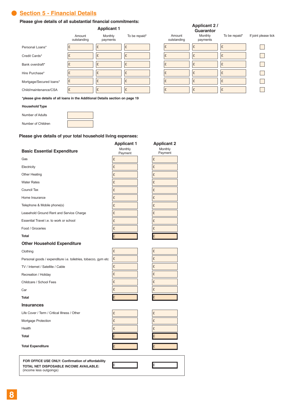## .**Section 5 - Financial Details**

#### **Please give details of all substantial financial commitments:**

|                         | <b>Applicant 1</b>    |                     |               |  |  |  |
|-------------------------|-----------------------|---------------------|---------------|--|--|--|
|                         | Amount<br>outstanding | Monthly<br>payments | To be repaid* |  |  |  |
| Personal Loans*         | £                     | £                   | £             |  |  |  |
| Credit Cards*           | £                     | £                   | £             |  |  |  |
| Bank overdraft*         | £                     | £                   | £             |  |  |  |
| Hire Purchase*          | £                     | £                   | £             |  |  |  |
| Mortgage/Secured loans* | £                     | £                   | £             |  |  |  |
| Child/maintenance/CSA   | £                     | £                   | £             |  |  |  |
|                         |                       |                     |               |  |  |  |

| Amount<br>outstanding | <b>Applicant 2/</b><br>Guarantor<br>Monthly<br>payments | To be repaid* | If joint please tick |
|-----------------------|---------------------------------------------------------|---------------|----------------------|
| Ι£                    | £                                                       | £             |                      |
| £                     | £                                                       | £             |                      |
| £                     | £                                                       | £             |                      |
| £                     | £                                                       | £             |                      |
| £                     | £                                                       | £             |                      |
| £                     | £                                                       | £             |                      |

**\*please give details of all loans in the Additional Details section on page 19**

#### **Household Type**

| Number of Adults   |  |
|--------------------|--|
| Number of Children |  |

#### **Please give details of your total household living expenses:**

|                                                                                                                         | <b>Applicant 1</b> | <b>Applicant 2</b> |
|-------------------------------------------------------------------------------------------------------------------------|--------------------|--------------------|
| <b>Basic Essential Expenditure</b>                                                                                      | Monthly<br>Payment | Monthly<br>Payment |
| Gas                                                                                                                     | £                  | £                  |
| Electricity                                                                                                             | £                  | £                  |
| <b>Other Heating</b>                                                                                                    | £                  | £                  |
| <b>Water Rates</b>                                                                                                      | £                  | £                  |
| Council Tax                                                                                                             | £                  | £                  |
| Home Insurance                                                                                                          | £                  | £                  |
| Telephone & Mobile phone(s)                                                                                             | £                  | £                  |
| Leasehold Ground Rent and Service Charge                                                                                | £                  | £                  |
| Essential Travel i.e. to work or school                                                                                 | £                  | £                  |
| Food / Groceries                                                                                                        | £                  | £                  |
| <b>Total</b>                                                                                                            | £                  | E                  |
| <b>Other Household Expenditure</b>                                                                                      |                    |                    |
| Clothing                                                                                                                | £                  | £                  |
| Personal goods / expenditure i.e. toiletries, tobacco, gym etc                                                          | £                  | £                  |
| TV / Internet / Satellite / Cable                                                                                       | £                  | £                  |
| Recreation / Holiday                                                                                                    | £                  | £                  |
| Childcare / School Fees                                                                                                 | £                  | £                  |
| Car                                                                                                                     | £                  | £                  |
| <b>Total</b>                                                                                                            | £                  | £                  |
| <b>Insurances</b>                                                                                                       |                    |                    |
| Life Cover / Term / Critical Illness / Other                                                                            | £                  | £                  |
| Mortgage Protection                                                                                                     | £                  | £                  |
| Health                                                                                                                  | £                  | £                  |
| <b>Total</b>                                                                                                            | £                  | £                  |
| <b>Total Expenditure</b>                                                                                                | £                  | £                  |
| FOR OFFICE USE ONLY: Confirmation of affordability<br>TOTAL NET DISPOSABLE INCOME AVAILABLE:<br>(income less outgoings) | £                  | £                  |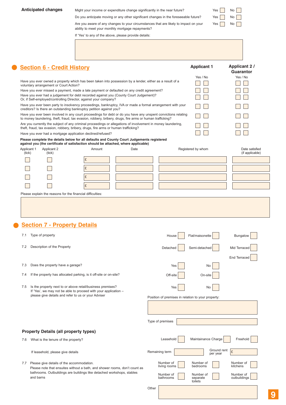| <b>Anticipated changes</b><br><b>Section 6 - Credit History</b><br>voluntary arrangement or Court Action?<br>Or, if Self-employed/controlling Director, against your company?<br>creditors? Is there an outstanding bankruptcy petition against you?<br>Have you ever had a mortgage application declined/refused? | Might your income or expenditure change significantly in the near future?<br>Do you anticipate moving or any other significant changes in the foreseeable future?<br>Are you aware of any changes to your circumstances that are likely to impact on your<br>ability to meet your monthly mortgage repayments?<br>If 'Yes' to any of the above, please provide details:<br>Have you ever owned a property which has been taken into possession by a lender, either as a result of a<br>Have you ever missed a payment, made a late payment or defaulted on any credit agreement?<br>Have you ever had a judgement for debt recorded against you (County Court Judgement)?<br>Have you ever been party to insolvency proceedings, bankruptcy, IVA or made a formal arrangement with your<br>Have you ever been involved in any court proceedings for debt or do you have any unspent convictions relating<br>to money laundering, theft, fraud, tax evasion, robbery, bribery, drugs, fire arms or human trafficking?<br>Are you currently the subject of any criminal proceedings or allegations of involvement in money laundering,<br>theft, fraud, tax evasion, robbery, bribery, drugs, fire arms or human trafficking? |                                                    | Yes<br>Yes<br>Yes<br><b>Applicant 1</b><br>Yes / No | No<br>No<br>No.<br><b>Applicant 2/</b><br>Guarantor<br>Yes / No |
|--------------------------------------------------------------------------------------------------------------------------------------------------------------------------------------------------------------------------------------------------------------------------------------------------------------------|-----------------------------------------------------------------------------------------------------------------------------------------------------------------------------------------------------------------------------------------------------------------------------------------------------------------------------------------------------------------------------------------------------------------------------------------------------------------------------------------------------------------------------------------------------------------------------------------------------------------------------------------------------------------------------------------------------------------------------------------------------------------------------------------------------------------------------------------------------------------------------------------------------------------------------------------------------------------------------------------------------------------------------------------------------------------------------------------------------------------------------------------------------------------------------------------------------------------------------|----------------------------------------------------|-----------------------------------------------------|-----------------------------------------------------------------|
|                                                                                                                                                                                                                                                                                                                    |                                                                                                                                                                                                                                                                                                                                                                                                                                                                                                                                                                                                                                                                                                                                                                                                                                                                                                                                                                                                                                                                                                                                                                                                                             |                                                    |                                                     |                                                                 |
|                                                                                                                                                                                                                                                                                                                    |                                                                                                                                                                                                                                                                                                                                                                                                                                                                                                                                                                                                                                                                                                                                                                                                                                                                                                                                                                                                                                                                                                                                                                                                                             |                                                    |                                                     |                                                                 |
|                                                                                                                                                                                                                                                                                                                    |                                                                                                                                                                                                                                                                                                                                                                                                                                                                                                                                                                                                                                                                                                                                                                                                                                                                                                                                                                                                                                                                                                                                                                                                                             |                                                    |                                                     |                                                                 |
|                                                                                                                                                                                                                                                                                                                    |                                                                                                                                                                                                                                                                                                                                                                                                                                                                                                                                                                                                                                                                                                                                                                                                                                                                                                                                                                                                                                                                                                                                                                                                                             |                                                    |                                                     |                                                                 |
|                                                                                                                                                                                                                                                                                                                    |                                                                                                                                                                                                                                                                                                                                                                                                                                                                                                                                                                                                                                                                                                                                                                                                                                                                                                                                                                                                                                                                                                                                                                                                                             |                                                    |                                                     |                                                                 |
|                                                                                                                                                                                                                                                                                                                    |                                                                                                                                                                                                                                                                                                                                                                                                                                                                                                                                                                                                                                                                                                                                                                                                                                                                                                                                                                                                                                                                                                                                                                                                                             |                                                    |                                                     |                                                                 |
|                                                                                                                                                                                                                                                                                                                    |                                                                                                                                                                                                                                                                                                                                                                                                                                                                                                                                                                                                                                                                                                                                                                                                                                                                                                                                                                                                                                                                                                                                                                                                                             |                                                    |                                                     |                                                                 |
|                                                                                                                                                                                                                                                                                                                    |                                                                                                                                                                                                                                                                                                                                                                                                                                                                                                                                                                                                                                                                                                                                                                                                                                                                                                                                                                                                                                                                                                                                                                                                                             |                                                    |                                                     |                                                                 |
|                                                                                                                                                                                                                                                                                                                    |                                                                                                                                                                                                                                                                                                                                                                                                                                                                                                                                                                                                                                                                                                                                                                                                                                                                                                                                                                                                                                                                                                                                                                                                                             |                                                    |                                                     |                                                                 |
|                                                                                                                                                                                                                                                                                                                    |                                                                                                                                                                                                                                                                                                                                                                                                                                                                                                                                                                                                                                                                                                                                                                                                                                                                                                                                                                                                                                                                                                                                                                                                                             |                                                    |                                                     |                                                                 |
|                                                                                                                                                                                                                                                                                                                    |                                                                                                                                                                                                                                                                                                                                                                                                                                                                                                                                                                                                                                                                                                                                                                                                                                                                                                                                                                                                                                                                                                                                                                                                                             |                                                    |                                                     |                                                                 |
|                                                                                                                                                                                                                                                                                                                    |                                                                                                                                                                                                                                                                                                                                                                                                                                                                                                                                                                                                                                                                                                                                                                                                                                                                                                                                                                                                                                                                                                                                                                                                                             |                                                    |                                                     |                                                                 |
|                                                                                                                                                                                                                                                                                                                    |                                                                                                                                                                                                                                                                                                                                                                                                                                                                                                                                                                                                                                                                                                                                                                                                                                                                                                                                                                                                                                                                                                                                                                                                                             |                                                    |                                                     |                                                                 |
|                                                                                                                                                                                                                                                                                                                    |                                                                                                                                                                                                                                                                                                                                                                                                                                                                                                                                                                                                                                                                                                                                                                                                                                                                                                                                                                                                                                                                                                                                                                                                                             |                                                    |                                                     |                                                                 |
|                                                                                                                                                                                                                                                                                                                    | Please complete the details below for all defaults and County Court Judgements registered                                                                                                                                                                                                                                                                                                                                                                                                                                                                                                                                                                                                                                                                                                                                                                                                                                                                                                                                                                                                                                                                                                                                   |                                                    |                                                     |                                                                 |
| Applicant 1<br>Applicant 2                                                                                                                                                                                                                                                                                         | against you (the certificate of satisfaction should be attached, where applicable)<br>Amount<br>Date                                                                                                                                                                                                                                                                                                                                                                                                                                                                                                                                                                                                                                                                                                                                                                                                                                                                                                                                                                                                                                                                                                                        |                                                    | Registered by whom                                  | Date satisfied                                                  |
| (tick)<br>(tick)                                                                                                                                                                                                                                                                                                   | £                                                                                                                                                                                                                                                                                                                                                                                                                                                                                                                                                                                                                                                                                                                                                                                                                                                                                                                                                                                                                                                                                                                                                                                                                           |                                                    |                                                     | (if applicable)                                                 |
|                                                                                                                                                                                                                                                                                                                    |                                                                                                                                                                                                                                                                                                                                                                                                                                                                                                                                                                                                                                                                                                                                                                                                                                                                                                                                                                                                                                                                                                                                                                                                                             |                                                    |                                                     |                                                                 |
|                                                                                                                                                                                                                                                                                                                    | £                                                                                                                                                                                                                                                                                                                                                                                                                                                                                                                                                                                                                                                                                                                                                                                                                                                                                                                                                                                                                                                                                                                                                                                                                           |                                                    |                                                     |                                                                 |
|                                                                                                                                                                                                                                                                                                                    | £                                                                                                                                                                                                                                                                                                                                                                                                                                                                                                                                                                                                                                                                                                                                                                                                                                                                                                                                                                                                                                                                                                                                                                                                                           |                                                    |                                                     |                                                                 |
|                                                                                                                                                                                                                                                                                                                    | £                                                                                                                                                                                                                                                                                                                                                                                                                                                                                                                                                                                                                                                                                                                                                                                                                                                                                                                                                                                                                                                                                                                                                                                                                           |                                                    |                                                     |                                                                 |
| <b>Section 7 - Property Details</b>                                                                                                                                                                                                                                                                                |                                                                                                                                                                                                                                                                                                                                                                                                                                                                                                                                                                                                                                                                                                                                                                                                                                                                                                                                                                                                                                                                                                                                                                                                                             |                                                    |                                                     |                                                                 |
| Type of property<br>7.1                                                                                                                                                                                                                                                                                            |                                                                                                                                                                                                                                                                                                                                                                                                                                                                                                                                                                                                                                                                                                                                                                                                                                                                                                                                                                                                                                                                                                                                                                                                                             | House                                              | Flat/maisonette                                     | Bungalow                                                        |
| Description of the Property<br>7.2                                                                                                                                                                                                                                                                                 |                                                                                                                                                                                                                                                                                                                                                                                                                                                                                                                                                                                                                                                                                                                                                                                                                                                                                                                                                                                                                                                                                                                                                                                                                             | Detached                                           | Semi-detached                                       | Mid Terraced                                                    |
|                                                                                                                                                                                                                                                                                                                    |                                                                                                                                                                                                                                                                                                                                                                                                                                                                                                                                                                                                                                                                                                                                                                                                                                                                                                                                                                                                                                                                                                                                                                                                                             |                                                    |                                                     | <b>End Terraced</b>                                             |
| Does the property have a garage?<br>7.3                                                                                                                                                                                                                                                                            |                                                                                                                                                                                                                                                                                                                                                                                                                                                                                                                                                                                                                                                                                                                                                                                                                                                                                                                                                                                                                                                                                                                                                                                                                             | Yes                                                | No                                                  |                                                                 |
| 7.4                                                                                                                                                                                                                                                                                                                | If the property has allocated parking, is it off-site or on-site?                                                                                                                                                                                                                                                                                                                                                                                                                                                                                                                                                                                                                                                                                                                                                                                                                                                                                                                                                                                                                                                                                                                                                           | Off-site                                           | On-site                                             |                                                                 |
| 7.5                                                                                                                                                                                                                                                                                                                | Is the property next to or above retail/business premises?<br>If 'Yes', we may not be able to proceed with your application -                                                                                                                                                                                                                                                                                                                                                                                                                                                                                                                                                                                                                                                                                                                                                                                                                                                                                                                                                                                                                                                                                               | Yes                                                | No                                                  |                                                                 |
| please give details and refer to us or your Adviser                                                                                                                                                                                                                                                                |                                                                                                                                                                                                                                                                                                                                                                                                                                                                                                                                                                                                                                                                                                                                                                                                                                                                                                                                                                                                                                                                                                                                                                                                                             | Position of premises in relation to your property: |                                                     |                                                                 |
|                                                                                                                                                                                                                                                                                                                    |                                                                                                                                                                                                                                                                                                                                                                                                                                                                                                                                                                                                                                                                                                                                                                                                                                                                                                                                                                                                                                                                                                                                                                                                                             |                                                    |                                                     |                                                                 |
|                                                                                                                                                                                                                                                                                                                    |                                                                                                                                                                                                                                                                                                                                                                                                                                                                                                                                                                                                                                                                                                                                                                                                                                                                                                                                                                                                                                                                                                                                                                                                                             | Type of premises                                   |                                                     |                                                                 |
| <b>Property Details (all property types)</b>                                                                                                                                                                                                                                                                       |                                                                                                                                                                                                                                                                                                                                                                                                                                                                                                                                                                                                                                                                                                                                                                                                                                                                                                                                                                                                                                                                                                                                                                                                                             |                                                    |                                                     |                                                                 |

If leasehold, please give details

7.7 Please give details of the accommodation.

Please note that ensuites without a bath, and shower rooms, don't count as bathrooms. Outbuildings are buildings like detached workshops, stables and barns

**Other** 

Number of living rooms

Number of bathrooms

Remaining term Ground rent

Number of bedrooms

Number of separate toilets

Ground rent  $\mathbf{f}$ 

Number of kitchens

Number of outbuildings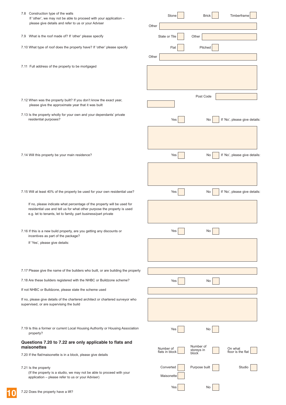| 7.8 Construction type of the walls<br>If 'other', we may not be able to proceed with your application -                                                                                                              |       | Stone                   | <b>Brick</b>            | Timberframe                   |
|----------------------------------------------------------------------------------------------------------------------------------------------------------------------------------------------------------------------|-------|-------------------------|-------------------------|-------------------------------|
| please give details and refer to us or your Adviser                                                                                                                                                                  | Other |                         |                         |                               |
| 7.9 What is the roof made of? If 'other' please specify                                                                                                                                                              |       | Slate or Tile           | Other                   |                               |
| 7.10 What type of roof does the property have? If 'other' please specify                                                                                                                                             | Other | Flat                    | Pitched                 |                               |
| 7.11 Full address of the property to be mortgaged                                                                                                                                                                    |       |                         |                         |                               |
|                                                                                                                                                                                                                      |       |                         |                         |                               |
| 7.12 When was the property built? If you don't know the exact year,<br>please give the approximate year that it was built                                                                                            |       |                         | Post Code               |                               |
| 7.13 Is the property wholly for your own and your dependants' private<br>residential purposes?                                                                                                                       |       | Yes                     | No                      | If 'No', please give details: |
|                                                                                                                                                                                                                      |       |                         |                         |                               |
| 7.14 Will this property be your main residence?                                                                                                                                                                      |       | Yes                     | No                      | If 'No', please give details: |
|                                                                                                                                                                                                                      |       |                         |                         |                               |
|                                                                                                                                                                                                                      |       |                         |                         |                               |
| 7.15 Will at least 40% of the property be used for your own residential use?                                                                                                                                         |       | Yes                     | No                      | If 'No', please give details: |
| If no, please indicate what percentage of the property will be used for<br>residential use and tell us for what other purpose the property is used<br>e.g. let to tenants, let to family, part business/part private |       |                         |                         |                               |
| 7.16 If this is a new build property, are you getting any discounts or<br>incentives as part of the package?                                                                                                         |       | Yes                     | No                      |                               |
| If 'Yes', please give details:                                                                                                                                                                                       |       |                         |                         |                               |
|                                                                                                                                                                                                                      |       |                         |                         |                               |
| 7.17 Please give the name of the builders who built, or are building the property                                                                                                                                    |       |                         |                         |                               |
| 7.18 Are these builders registered with the NHBC or Buildzone scheme?                                                                                                                                                |       | Yes                     | No                      |                               |
| If not NHBC or Buildzone, please state the scheme used                                                                                                                                                               |       |                         |                         |                               |
| If no, please give details of the chartered architect or chartered surveyor who<br>supervised, or are supervising the build                                                                                          |       |                         |                         |                               |
| 7.19 Is this a former or current Local Housing Authority or Housing Association<br>property?                                                                                                                         |       | Yes                     | No                      |                               |
| Questions 7.20 to 7.22 are only applicable to flats and<br>maisonettes                                                                                                                                               |       | Number of               | Number of<br>storeys in | On what                       |
| 7.20 If the flat/maisonette is in a block, please give details                                                                                                                                                       |       | flats in block          | block                   | floor is the flat             |
| 7.21 Is the property<br>(If the property is a studio, we may not be able to proceed with your<br>application - please refer to us or your Adviser)                                                                   |       | Converted<br>Maisonette | Purpose built           | Studio                        |
| 7.22 Does the property have a lift?                                                                                                                                                                                  |       | Yes                     | No                      |                               |

**10**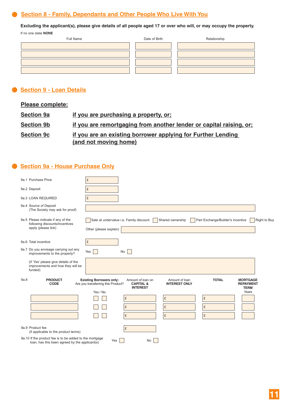# **Section 8 - Family, Dependants and Other People Who Live With You** .

**Excluding the applicant(s), please give details of all people aged 17 or over who will, or may occupy the property.**

If no one state **NONE**

| Full Name | Date of Birth | Relationship |
|-----------|---------------|--------------|
|           |               |              |
|           |               |              |
|           |               |              |
|           |               |              |

## .**Section 9 - Loan Details**

| <b>Please complete:</b>          |                                                                                       |
|----------------------------------|---------------------------------------------------------------------------------------|
| <b>Section 9a</b>                | if you are purchasing a property, or:                                                 |
| <b>Section 9b</b>                | if you are remortgaging from another lender or capital raising, or:                   |
| <b>Section 9c</b>                | if you are an existing borrower applying for Further Lending<br>(and not moving home) |
| Section 9a - House Purchase Only |                                                                                       |
| $0 - 4$ Durchway Data a          | $\sim$                                                                                |

## **Section 9a - House Purchase Only**

| 9a.1 Purchase Price                                                                                       | £                                                                                                                                                                                                                                                                                                                       |
|-----------------------------------------------------------------------------------------------------------|-------------------------------------------------------------------------------------------------------------------------------------------------------------------------------------------------------------------------------------------------------------------------------------------------------------------------|
| 9a.2 Deposit                                                                                              | £                                                                                                                                                                                                                                                                                                                       |
| 9a.3 LOAN REQUIRED                                                                                        | £                                                                                                                                                                                                                                                                                                                       |
| 9a.4 Source of Deposit<br>(The Society may ask for proof)                                                 |                                                                                                                                                                                                                                                                                                                         |
| 9a.5 Please indicate if any of the<br>following discounts/incentives<br>apply (please tick)               | Sale at undervalue i.e. Family discount<br>Shared ownership<br>Part Exchange/Builder's incentive<br>Right to Buy<br>Other (please explain)                                                                                                                                                                              |
| 9a.6 Total incentive                                                                                      | £                                                                                                                                                                                                                                                                                                                       |
| 9a.7 Do you envisage carrying out any<br>improvements to the property?                                    | Yes<br><b>No</b>                                                                                                                                                                                                                                                                                                        |
| (if 'Yes' please give details of the<br>improvements and how they will be<br>funded)                      |                                                                                                                                                                                                                                                                                                                         |
| 9a.8<br><b>PRODUCT</b><br><b>CODE</b>                                                                     | Amount of loan on<br>Amount of loan<br><b>TOTAL</b><br><b>Existing Borrowers only:</b><br><b>MORTGAGE</b><br><b>CAPITAL &amp;</b><br><b>INTEREST ONLY</b><br>Are you transferring this Product?<br><b>REPAYMENT</b><br><b>INTEREST</b><br><b>TERM</b><br>Yes / No<br>Years<br>£<br>£<br>£<br>£<br>£<br>£<br>£<br>£<br>£ |
| 9a.9 Product fee<br>(if applicable to the product terms)                                                  | £                                                                                                                                                                                                                                                                                                                       |
| 9a.10 If the product fee is to be added to the mortgage<br>loan, has this been agreed by the applicant(s) | Yes<br>No                                                                                                                                                                                                                                                                                                               |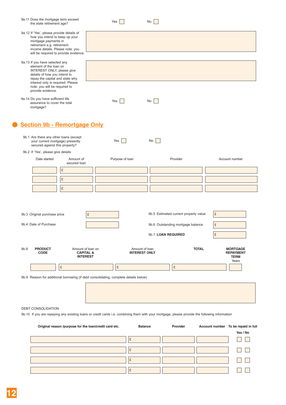| 9a.11 Does the mortgage term exceed<br>the state retirement age?                                                                                                                                               | Yes                                                          | No                                     |                                       |                                                             |
|----------------------------------------------------------------------------------------------------------------------------------------------------------------------------------------------------------------|--------------------------------------------------------------|----------------------------------------|---------------------------------------|-------------------------------------------------------------|
| 9a.12 If 'Yes', please provide details of<br>how you intend to keep up your<br>mortgage payments in<br>retirement e.g. retirement<br>income details. Please note: you<br>will be required to provide evidence. |                                                              |                                        |                                       |                                                             |
| 9a.13 If you have selected any<br>element of the loan on<br>INTEREST ONLY, please give<br>details of how you intend to<br>repay the capital and state why<br>interest only is required. Please                 |                                                              |                                        |                                       |                                                             |
| note: you will be required to<br>provide evidence.<br>9a.14 Do you have sufficient life<br>assurance to cover the total<br>mortgage?                                                                           | Yes                                                          | No                                     |                                       |                                                             |
| <b>Section 9b - Remortgage Only</b>                                                                                                                                                                            |                                                              |                                        |                                       |                                                             |
| 9b.1 Are there any other loans (except<br>your current mortgage) presently<br>secured against this property?                                                                                                   | Yes $\vert$ $\vert$                                          | No                                     |                                       |                                                             |
| 9b.2 If 'Yes', please give details                                                                                                                                                                             |                                                              |                                        |                                       |                                                             |
| Amount of<br>Date started<br>secured loan                                                                                                                                                                      |                                                              | Purpose of loan                        | Provider                              | Account number                                              |
| £                                                                                                                                                                                                              |                                                              |                                        |                                       |                                                             |
| £                                                                                                                                                                                                              |                                                              |                                        |                                       |                                                             |
| £                                                                                                                                                                                                              |                                                              |                                        |                                       |                                                             |
|                                                                                                                                                                                                                |                                                              |                                        |                                       |                                                             |
| 9b.3 Original purchase price                                                                                                                                                                                   | £                                                            |                                        | 9b.5 Estimated current property value | £                                                           |
| 9b.4 Date of Purchase                                                                                                                                                                                          |                                                              |                                        | 9b.6 Outstanding mortgage balance     | £                                                           |
|                                                                                                                                                                                                                |                                                              |                                        | 9b.7 LOAN REQUIRED                    | £                                                           |
| <b>PRODUCT</b><br>9b.8<br><b>CODE</b>                                                                                                                                                                          | Amount of loan on<br><b>CAPITAL &amp;</b><br><b>INTEREST</b> | Amount of Ioan<br><b>INTEREST ONLY</b> | <b>TOTAL</b>                          | <b>MORTGAGE</b><br><b>REPAYMENT</b><br><b>TERM</b><br>Years |
| £                                                                                                                                                                                                              | £                                                            |                                        | £                                     |                                                             |
| 9b.9 Reason for additional borrowing (if debt consolidating, complete details below)                                                                                                                           |                                                              |                                        |                                       |                                                             |
|                                                                                                                                                                                                                |                                                              |                                        |                                       |                                                             |
| DEBT CONSOLIDATION                                                                                                                                                                                             |                                                              |                                        |                                       |                                                             |
| 9b.10 If you are repaying any existing loans or credit cards i.e. combining them with your mortgage, please provide the following information                                                                  |                                                              |                                        |                                       |                                                             |
|                                                                                                                                                                                                                |                                                              |                                        |                                       |                                                             |
| Original reason /purpose for the loan/credit card etc.                                                                                                                                                         |                                                              | <b>Balance</b>                         | Provider                              | Account number To be repaid in full<br>Yes / No             |

|  |  | Yes / No |
|--|--|----------|
|  |  |          |
|  |  |          |
|  |  |          |
|  |  |          |
|  |  |          |
|  |  |          |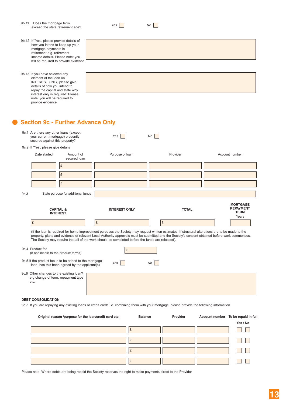|      | 9b.11 Does the mortgage term<br>exceed the state retirement age?                                                                                                                                                                                     |                                                                                                          | Yes                                                                                                                                                                                                                                                                                                                                                                                                     | No           |                                          |
|------|------------------------------------------------------------------------------------------------------------------------------------------------------------------------------------------------------------------------------------------------------|----------------------------------------------------------------------------------------------------------|---------------------------------------------------------------------------------------------------------------------------------------------------------------------------------------------------------------------------------------------------------------------------------------------------------------------------------------------------------------------------------------------------------|--------------|------------------------------------------|
|      | 9b.12 If 'Yes', please provide details of<br>how you intend to keep up your<br>mortgage payments in<br>retirement e.g. retirement<br>income details. Please note: you                                                                                | will be required to provide evidence.                                                                    |                                                                                                                                                                                                                                                                                                                                                                                                         |              |                                          |
|      | 9b.13 If you have selected any<br>element of the loan on<br>INTEREST ONLY, please give<br>details of how you intend to<br>repay the capital and state why<br>interest only is required. Please<br>note: you will be required to<br>provide evidence. |                                                                                                          |                                                                                                                                                                                                                                                                                                                                                                                                         |              |                                          |
|      |                                                                                                                                                                                                                                                      | <b>Section 9c - Further Advance Only</b>                                                                 |                                                                                                                                                                                                                                                                                                                                                                                                         |              |                                          |
|      | 9c.1 Are there any other loans (except<br>your current mortgage) presently<br>secured against this property?                                                                                                                                         |                                                                                                          | Yes                                                                                                                                                                                                                                                                                                                                                                                                     | No           |                                          |
|      | 9c.2 If 'Yes', please give details                                                                                                                                                                                                                   |                                                                                                          |                                                                                                                                                                                                                                                                                                                                                                                                         |              |                                          |
|      | Date started                                                                                                                                                                                                                                         | Amount of<br>secured loan                                                                                | Purpose of Ioan                                                                                                                                                                                                                                                                                                                                                                                         | Provider     | Account number                           |
|      |                                                                                                                                                                                                                                                      | £                                                                                                        |                                                                                                                                                                                                                                                                                                                                                                                                         |              |                                          |
|      |                                                                                                                                                                                                                                                      | £                                                                                                        |                                                                                                                                                                                                                                                                                                                                                                                                         |              |                                          |
|      |                                                                                                                                                                                                                                                      | £                                                                                                        |                                                                                                                                                                                                                                                                                                                                                                                                         |              |                                          |
| 9c.3 |                                                                                                                                                                                                                                                      | State purpose for additional funds                                                                       |                                                                                                                                                                                                                                                                                                                                                                                                         |              |                                          |
|      |                                                                                                                                                                                                                                                      |                                                                                                          |                                                                                                                                                                                                                                                                                                                                                                                                         |              | <b>MORTGAGE</b>                          |
|      |                                                                                                                                                                                                                                                      | <b>CAPITAL &amp;</b><br><b>INTEREST</b>                                                                  | <b>INTEREST ONLY</b>                                                                                                                                                                                                                                                                                                                                                                                    | <b>TOTAL</b> | <b>REPAYMENT</b><br><b>TERM</b><br>Years |
|      | £                                                                                                                                                                                                                                                    |                                                                                                          | £                                                                                                                                                                                                                                                                                                                                                                                                       | £            |                                          |
|      |                                                                                                                                                                                                                                                      |                                                                                                          | (If the loan is required for home improvement purposes the Society may request written estimates. If structural alterations are to be made to the<br>property, plans and evidence of relevant Local Authority approvals must be submitted and the Society's consent obtained before work commences.<br>The Society may require that all of the work should be completed before the funds are released). |              |                                          |
|      | 9c.4 Product fee<br>(if applicable to the product terms)                                                                                                                                                                                             |                                                                                                          | £                                                                                                                                                                                                                                                                                                                                                                                                       |              |                                          |
|      |                                                                                                                                                                                                                                                      | 9c.5 If the product fee is to be added to the mortgage<br>loan, has this been agreed by the applicant(s) | Yes                                                                                                                                                                                                                                                                                                                                                                                                     | No           |                                          |
|      | 9c.6 Other changes to the existing loan?<br>e.g change of term, repayment type<br>etc.                                                                                                                                                               |                                                                                                          |                                                                                                                                                                                                                                                                                                                                                                                                         |              |                                          |
|      | <b>DEBT CONSOLIDATION</b>                                                                                                                                                                                                                            |                                                                                                          |                                                                                                                                                                                                                                                                                                                                                                                                         |              |                                          |
|      | 9c.7 If you are repaying any existing loans or credit cards i.e. combining them with your mortgage, please provide the following information                                                                                                         |                                                                                                          |                                                                                                                                                                                                                                                                                                                                                                                                         |              |                                          |

| Original reason /purpose for the loan/credit card etc. | <b>Balance</b> | Provider | Account number To be repaid in full |
|--------------------------------------------------------|----------------|----------|-------------------------------------|
|                                                        |                |          | Yes / No                            |
|                                                        | £              |          |                                     |
|                                                        | £              |          |                                     |
|                                                        | £              |          |                                     |
|                                                        | £              |          |                                     |

Please note: Where debts are being repaid the Society reserves the right to make payments direct to the Provider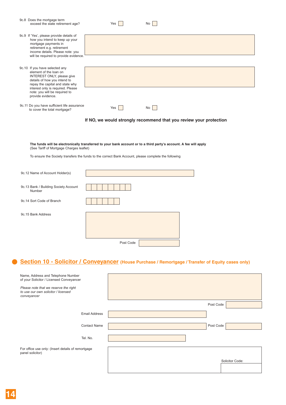| 9c.8 Does the mortgage term<br>exceed the state retirement age?                                                                                                                                                                                      |                      | Yes                 | No                                                                 |           |  |
|------------------------------------------------------------------------------------------------------------------------------------------------------------------------------------------------------------------------------------------------------|----------------------|---------------------|--------------------------------------------------------------------|-----------|--|
| 9c.9 If 'Yes', please provide details of<br>how you intend to keep up your<br>mortgage payments in<br>retirement e.g. retirement<br>income details. Please note: you<br>will be required to provide evidence.                                        |                      |                     |                                                                    |           |  |
| 9c.10 If you have selected any<br>element of the loan on<br>INTEREST ONLY, please give<br>details of how you intend to<br>repay the capital and state why<br>interest only is required. Please<br>note: you will be required to<br>provide evidence. |                      |                     |                                                                    |           |  |
| 9c.11 Do you have sufficient life assurance<br>to cover the total mortgage?                                                                                                                                                                          |                      | Yes $\vert$ $\vert$ | $No$                                                               |           |  |
|                                                                                                                                                                                                                                                      |                      |                     | If NO, we would strongly recommend that you review your protection |           |  |
| The funds will be electronically transferred to your bank account or to a third party's account. A fee will apply<br>(See Tariff of Mortgage Charges leaflet)                                                                                        |                      |                     |                                                                    |           |  |
| To ensure the Society transfers the funds to the correct Bank Account, please complete the following                                                                                                                                                 |                      |                     |                                                                    |           |  |
| 9c.12 Name of Account Holder(s)                                                                                                                                                                                                                      |                      |                     |                                                                    |           |  |
| 9c.13 Bank / Building Society Account<br>Number                                                                                                                                                                                                      |                      |                     |                                                                    |           |  |
| 9c.14 Sort Code of Branch                                                                                                                                                                                                                            |                      |                     |                                                                    |           |  |
| 9c.15 Bank Address                                                                                                                                                                                                                                   |                      |                     |                                                                    |           |  |
|                                                                                                                                                                                                                                                      |                      | Post Code           |                                                                    |           |  |
| Section 10 - Solicitor / Conveyancer (House Purchase / Remortgage / Transfer of Equity cases only)                                                                                                                                                   |                      |                     |                                                                    |           |  |
| Name, Address and Telephone Number<br>of your Solicitor / Licensed Conveyancer                                                                                                                                                                       |                      |                     |                                                                    |           |  |
| Please note that we reserve the right<br>to use our own solicitor / licensed<br>conveyancer                                                                                                                                                          |                      |                     |                                                                    |           |  |
|                                                                                                                                                                                                                                                      |                      |                     |                                                                    | Post Code |  |
|                                                                                                                                                                                                                                                      | <b>Email Address</b> |                     |                                                                    |           |  |
|                                                                                                                                                                                                                                                      | <b>Contact Name</b>  |                     |                                                                    | Post Code |  |
|                                                                                                                                                                                                                                                      | Tel. No.             |                     |                                                                    |           |  |

For office use only: (Insert details of remortgage panel solicitor)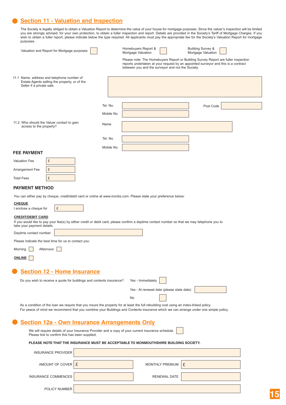# **Section 11 - Valuation and Inspection** .

The Society is legally obliged to obtain a Valuation Report to determine the value of your house for mortgage purposes. Since the valuer's inspection will be limited you are strongly advised, for your own protection, to obtain a fuller inspection and report. Details are provided in the Society's Tariff of Mortgage Charges. If you wish the type report report required.<br>
All applicants must pay the required. All applicants must pay the Report for mortgage

| purposes.<br>Valuation and Report for Mortgage purposes                                                                                             |            | <b>Building Survey &amp;</b><br>Homebuyers Report &                                                                                                                                                                                                                           |
|-----------------------------------------------------------------------------------------------------------------------------------------------------|------------|-------------------------------------------------------------------------------------------------------------------------------------------------------------------------------------------------------------------------------------------------------------------------------|
|                                                                                                                                                     |            | Mortgage Valuation<br>Mortgage Valuation<br>Please note: The Homebuyers Report or Building Survey Report are fuller inspection<br>reports undertaken at your request by an appointed surveyor and this is a contract<br>between you and the surveyor and not the Society.     |
| 11.1 Name. address and telephone number of<br>Estate Agents selling the property, or of the<br>Seller if a private sale.                            |            |                                                                                                                                                                                                                                                                               |
|                                                                                                                                                     | Tel. No.   | Post Code                                                                                                                                                                                                                                                                     |
|                                                                                                                                                     | Mobile No. |                                                                                                                                                                                                                                                                               |
| 11.2 Who should the Valuer contact to gain<br>access to the property?                                                                               | Name       |                                                                                                                                                                                                                                                                               |
|                                                                                                                                                     | Tel. No.   |                                                                                                                                                                                                                                                                               |
|                                                                                                                                                     | Mobile No. |                                                                                                                                                                                                                                                                               |
| <b>FEE PAYMENT</b>                                                                                                                                  |            |                                                                                                                                                                                                                                                                               |
| £<br><b>Valuation Fee</b><br>£<br>Arrangement Fee                                                                                                   |            |                                                                                                                                                                                                                                                                               |
| £<br><b>Total Fees</b>                                                                                                                              |            |                                                                                                                                                                                                                                                                               |
| <b>PAYMENT METHOD</b>                                                                                                                               |            |                                                                                                                                                                                                                                                                               |
| You can either pay by cheque, credit/debit card or online at www.monbs.com. Please state your preference below:                                     |            |                                                                                                                                                                                                                                                                               |
| <b>CHEQUE</b><br>£<br>I enclose a cheque for                                                                                                        |            |                                                                                                                                                                                                                                                                               |
| <b>CREDIT/DEBIT CARD</b><br>take your payment details.                                                                                              |            | If you would like to pay your fee(s) by either credit or debit card, please confirm a daytime contact number so that we may telephone you to                                                                                                                                  |
| Daytime contact number:                                                                                                                             |            |                                                                                                                                                                                                                                                                               |
| Please indicate the best time for us to contact you:                                                                                                |            |                                                                                                                                                                                                                                                                               |
| Morning <b>Afternoon</b>                                                                                                                            |            |                                                                                                                                                                                                                                                                               |
| <b>ONLINE</b>                                                                                                                                       |            |                                                                                                                                                                                                                                                                               |
| <b>Section 12 - Home Insurance</b>                                                                                                                  |            |                                                                                                                                                                                                                                                                               |
| Do you wish to receive a quote for buildings and contents insurance?                                                                                |            | Yes - Immediately                                                                                                                                                                                                                                                             |
|                                                                                                                                                     |            | Yes - At renewal date (please state date)                                                                                                                                                                                                                                     |
|                                                                                                                                                     |            | No                                                                                                                                                                                                                                                                            |
|                                                                                                                                                     |            | As a condition of the loan we require that you insure the property for at least the full rebuilding cost using an index-linked policy.<br>For peace of mind we recommend that you combine your Buildings and Contents insurance which we can arrange under one simple policy. |
| <b>Section 12a - Own Insurance Arrangements Only</b>                                                                                                |            |                                                                                                                                                                                                                                                                               |
| We will require details of your Insurance Provider and a copy of your current insurance schedule.<br>Please tick to confirm this has been supplied. |            |                                                                                                                                                                                                                                                                               |

#### **PLEASE NOTE THAT THE INSURANCE MUST BE ACCEPTABLE TO MONMOUTHSHIRE BUILDING SOCIETY.**

| <b>INSURANCE PROVIDER</b> |                     |   |
|---------------------------|---------------------|---|
| AMOUNT OF COVER E         | MONTHLY PREMIUM     | £ |
| INSURANCE COMMENCES       | <b>RENEWAL DATE</b> |   |
| POLICY NUMBER             |                     |   |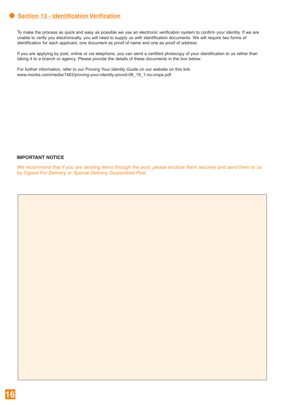# **Section 13 - Identification Verification** .

To make the process as quick and easy as possible we use an electronic verification system to confirm your identity. If we are unable to verify you electronically, you will need to supply us with identification documents. We will require two forms of identification for each applicant, one document as proof of name and one as proof of address.

If you are applying by post, online or via telephone, you can send a certified photocopy of your identification to us rather than taking it to a branch or agency. Please provide the details of these documents in the box below:

For further information, refer to our Proving Your Identity Guide on our website on this link: www.monbs.com/media/1483/proving-your-identity-provid-06\_19\_1-no-crops.pdf

### **IMPORTANT NOTICE**

*We recommend that if you are sending items through the post, please enclose them securely and send them to us by Signed For Delivery or Special Delivery Guaranteed Post.*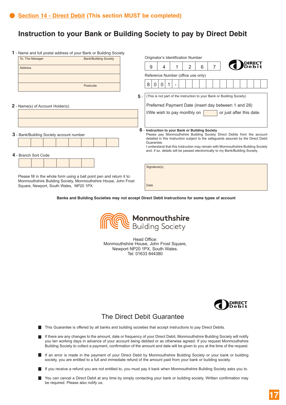# **Instruction to your Bank or Building Society to pay by Direct Debit**

| 1 - Name and full postal address of your Bank or Building Society      |     |                                                                                                                                                                |
|------------------------------------------------------------------------|-----|----------------------------------------------------------------------------------------------------------------------------------------------------------------|
| To: The Manager<br><b>Bank/Building Society</b>                        |     | Originator's Identification Number                                                                                                                             |
| <b>Address</b>                                                         |     | ) RECT<br>) e b i t<br>7<br>2<br>6<br>9<br>4<br>1                                                                                                              |
|                                                                        |     | Reference Number (office use only)                                                                                                                             |
|                                                                        |     |                                                                                                                                                                |
| Postcode                                                               |     | 8 <sup>1</sup><br>$\mathbf 0$<br>$\mathbf{0}$<br>$\overline{\phantom{a}}$                                                                                      |
|                                                                        | 5 - | (This is not part of the instruction to your Bank or Building Society)                                                                                         |
| <b>2</b> - Name(s) of Account Holder(s)                                |     | Preferred Payment Date (insert day between 1 and 28)                                                                                                           |
|                                                                        |     | I/We wish to pay monthly on<br>or just after this date.                                                                                                        |
|                                                                        |     |                                                                                                                                                                |
|                                                                        | 6   | Instruction to your Bank or Building Society                                                                                                                   |
| 3 - Bank/Building Society account number                               |     | Please pay Monmouthshire Building Society Direct Debits from the account<br>detailed in this Instruction subject to the safeguards assured by the Direct Debit |
|                                                                        |     | Guarantee.<br>I understand that this Instruction may remain with Monmouthshire Building Society                                                                |
|                                                                        |     | and, if so, details will be passed electronically to my Bank/Building Society.                                                                                 |
| 4 - Branch Sort Code                                                   |     |                                                                                                                                                                |
|                                                                        |     |                                                                                                                                                                |
|                                                                        |     | Signature(s)                                                                                                                                                   |
| Please fill in the whole form using a ball point pen and return it to: |     |                                                                                                                                                                |
| Monmouthshire Building Society, Monmouthshire House, John Frost        |     |                                                                                                                                                                |
| Square, Newport, South Wales, NP20 1PX.                                |     | Date                                                                                                                                                           |

**Banks and Building Societies may not accept Direct Debit Instructions for some types of account**



Head Office: Monmouthshire House, John Frost Square, Newport NP20 1PX, South Wales. Tel: 01633 844380



### The Direct Debit Guarantee

- This Guarantee is offered by all banks and building societies that accept instructions to pay Direct Debits.
- If there are any changes to the amount, date or frequency of your Direct Debit, Monmouthshire Building Society will notify you ten working days in advance of your account being debited or as otherwise agreed. If you request Monmouthshire Building Society to collect a payment, confirmation of the amount and date will be given to you at the time of the request.
- If an error is made in the payment of your Direct Debit by Monmouthshire Building Society or your bank or building society, you are entitled to a full and immediate refund of the amount paid from your bank or building society.
- If you receive a refund you are not entitled to, you must pay it back when Monmouthshire Building Society asks you to.
- You can cancel a Direct Debit at any time by simply contacting your bank or building society. Written confirmation may be required. Please also notify us.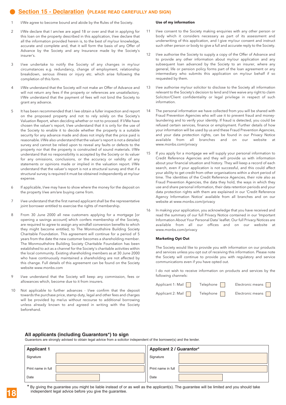### **Section 15 - Declaration (PLEASE READ CAREFULLY AND SIGN)**

- I/We agree to become bound and abide by the Rules of the Society. **.** 
	- 2 I/We declare that I am/we are aged 18 or over and that in applying for this loan on the property described in this application, I/we declare that all the information provided herein is, to the best of my/our knowledge, accurate and complete and, that it will form the basis of any Offer of Advance by the Society and any Insurance made by the Society's insurer's.
	- 3 I/we undertake to notify the Society of any changes in my/our circumstances e.g. redundancy, change of employment, relationship breakdown, serious illness or injury etc. which arise following the completion of this form.
	- 4 I/We understand that the Society will not make an Offer of Advance and will not return any fees if the property or references are unsatisfactory. I/We understand that the payment of fees will not bind the Society to grant any advance.
	- 5 It has been recommended that I /we obtain a fuller inspection and report on the proposed property and not to rely solely on the Society's Valuation Report, when deciding whether or not to proceed. If I/We have chosen the valuer's report, I/we understand that it is only for the use of the Society to enable it to decide whether the property is a suitable security for any advance made and does not imply that the price paid is reasonable. I/We also understand that the valuer's report is not a detailed survey and cannot be relied upon to reveal any faults or defects to the property nor that the property is constructed of sound materials. I/We understand that no responsibility is accepted by the Society or its valuer for any omissions, conclusions, or the accuracy or validity of any statements or opinions made or implied in the valuation report. I/We understand that the valuer's report is not a structural survey and that if a structural survey is required it must be obtained independently at my/our expense.
	- 6 If applicable, I/we may have to show where the money for the deposit on the property I/we am/are buying came from.
	- 7 I/we understand that the first named applicant shall be the representative joint borrower entitled to exercise the rights of membership.
	- 8 From 30 June 2000 all new customers applying for a mortgage [or opening a savings account] which confers membership of the Society, are required to agree to assign any windfall conversion benefits to which they might become entitled, to The Monmouthshire Building Society Charitable Foundation. This agreement will continue for a period of 5 years from the date the new customer becomes a shareholding member. The Monmouthshire Building Society Charitable Foundation has been established to act as a channel for the Society's charitable activities within the local community. Existing shareholding members as at 30 June 2000 who have continuously maintained a shareholding are not affected by this change. Full details of this agreement can be found on the Society website www.monbs.com
	- I/we understand that the Society will keep any commission, fees or allowances which, become due to it from insurers.
	- 10 Not applicable to further advances I/we confirm that the deposit towards the purchase price, stamp duty, legal and other fees and charges will be provided by me/us without recourse to additional borrowing unless already known to and agreed in writing with the Society beforehand.

#### **Use of my information**

- 11 I/we consent to the Society making enquiries with any other person or body which it considers necessary as part of its assessment and underwriting of this application, and I give my/our consent and instruct such other person or body to give a full and accurate reply to the Society.
- 12 I/we authorise the Society to supply a copy of the Offer of Advance and to provide any other information about my/our application and any subsequent loan advanced by the Society to an insurer, where any general, life or pension policy forms part of the loan agreement or any intermediary who submits this application on my/our behalf if so requested by them.
- 13 I/we authorise my/our solicitor to disclose to the Society all information relevant to the Society's decision to lend and I/we waive any right to claim Solicitor/Client confidentiality or legal privilege in respect of such information.
- 14 The personal information we have collected from you will be shared with Fraud Prevention Agencies who will use it to prevent fraud and moneylaundering and to verify your identity. If fraud is detected, you could be refused certain services, finance or employment. Further details of how your information will be used by us and these Fraud Prevention Agencies, and your data protection rights, can be found in our Privacy Notice available from all branches and on our website at www.monbs.com/privacy
- 15 If you apply for a mortgage we will supply your personal information to Credit Reference Agencies and they will provide us with information about your financial situation and history. They will keep a record of each search, even if your application is not successful, and this could affect your ability to get credit from other organisations within a short period of time. The identities of the Credit Reference Agencies, their role also as Fraud Prevention Agencies, the data they hold, the ways in which they use and share personal information, their data retention periods and your data protection rights with them are explained in our 'Credit Reference Agency Information Notice' available from all branches and on our website at www.monbs.com/privacy
- 16 In making your application, you acknowledge that you have received and read the summary of our full Privacy Notice contained in our 'Important Information About Your Personal Data' leaflet. Our full Privacy Notices are available from all our offices and on our website at www.monbs.com/privacy

#### **Marketing Opt Out**

The Society would like to provide you with information on our products and services unless you opt out of receiving this information. Please note the Society will continue to provide you with regulatory and service communications even if you have opted out.

I do not wish to receive information on products and services by the following channels:

| Applicant 1: Mail | Telephone | Electronic means        |
|-------------------|-----------|-------------------------|
| Applicant 2: Mail | Telephone | Electronic means $\Box$ |

#### **All applicants (including Guarantors\*) to sign**

Guarantors are strongly advised to obtain legal advice from a solicitor independent of the borrower(s) and the lender.

| <b>Applicant 1</b> | <b>Applicant 2 / Guarantor*</b> |  |  |
|--------------------|---------------------------------|--|--|
| Signature          | Signature                       |  |  |
| Print name in full | Print name in full              |  |  |
| Date               | Date                            |  |  |

**18**

**\*** By giving the guarantee you might be liable instead of or as well as the applicant(s). The guarantee will be limited and you should take independent legal advice before you give the guarantee.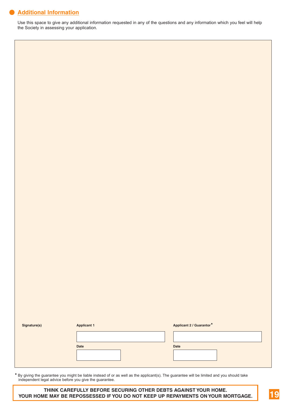# **Additional Information** .

Use this space to give any additional information requested in any of the questions and any information which you feel will help the Society in assessing your application.

| Signature(s) | <b>Applicant 1</b> | Applicant 2 / Guarantor* |
|--------------|--------------------|--------------------------|
|              |                    |                          |
|              | Date               | Date                     |
|              |                    |                          |
|              |                    |                          |

**\*** By giving the guarantee you might be liable instead of or as well as the applicant(s). The guarantee will be limited and you should take independent legal advice before you give the guarantee.

#### **THINK CAREFULLY BEFORE SECURING OTHER DEBTS AGAINST YOUR HOME. YOUR HOME MAY BE REPOSSESSED IF YOU DO NOT KEEP UP REPAYMENTS ON YOUR MORTGAGE.**

**19**